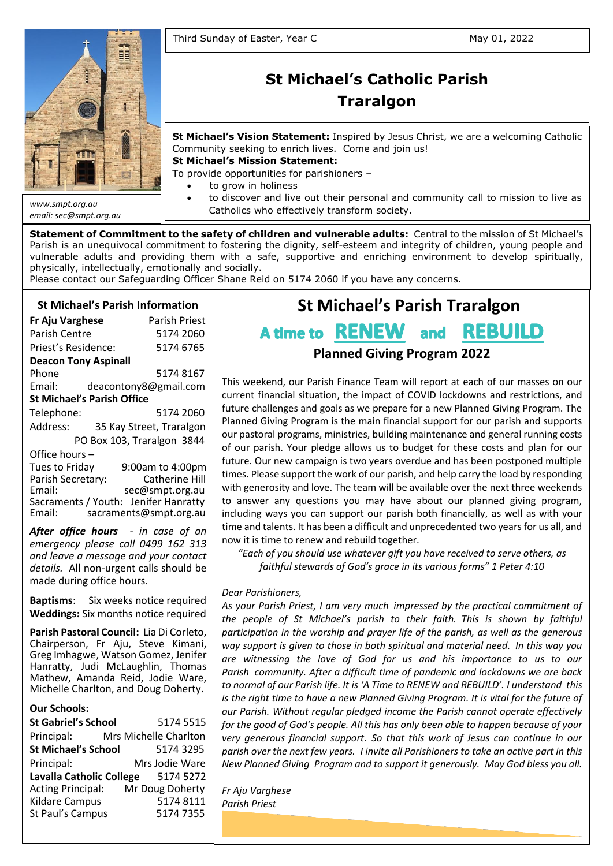

*email: sec@smpt.org.au*

# **St Michael's Catholic Parish Traralgon**

**St Michael's Vision Statement:** Inspired by Jesus Christ, we are a welcoming Catholic Community seeking to enrich lives. Come and join us!

**St Michael's Mission Statement:**

To provide opportunities for parishioners –

- to grow in holiness
- to discover and live out their personal and community call to mission to live as Catholics who effectively transform society.

**Statement of Commitment to the safety of children and vulnerable adults:** Central to the mission of St Michael's Parish is an unequivocal commitment to fostering the dignity, self-esteem and integrity of children, young people and vulnerable adults and providing them with a safe, supportive and enriching environment to develop spiritually, physically, intellectually, emotionally and socially.

Please contact our Safeguarding Officer Shane Reid on 5174 2060 if you have any concerns.

# **St Michael's Parish Information**

| Fr Aju Varghese                   | <b>Parish Priest</b>     |  |  |  |  |
|-----------------------------------|--------------------------|--|--|--|--|
| <b>Parish Centre</b>              | 5174 2060                |  |  |  |  |
| Priest's Residence:               | 5174 6765                |  |  |  |  |
| <b>Deacon Tony Aspinall</b>       |                          |  |  |  |  |
| Phone                             | 51748167                 |  |  |  |  |
| Email:                            | deacontony8@gmail.com    |  |  |  |  |
| <b>St Michael's Parish Office</b> |                          |  |  |  |  |
| Telephone:                        | 5174 2060                |  |  |  |  |
| Address:                          | 35 Kay Street, Traralgon |  |  |  |  |
| PO Box 103, Traralgon 3844        |                          |  |  |  |  |
| Office hours -                    |                          |  |  |  |  |
| Tues to Friday                    | 9:00am to 4:00pm         |  |  |  |  |
| Parish Secretary:                 | <b>Catherine Hill</b>    |  |  |  |  |
| Email·                            | $\cos \omega$ cmnt organ |  |  |  |  |

Email: sec@smpt.org.au Sacraments / Youth: Jenifer Hanratty Email: [sacraments@smpt.org.au](mailto:sacraments@smpt.org.au)

*After office hours - in case of an emergency please call 0499 162 313 and leave a message and your contact details.* All non-urgent calls should be made during office hours.

**Baptisms**: Six weeks notice required **Weddings:** Six months notice required

**Parish Pastoral Council:** Lia Di Corleto, Chairperson, Fr Aju, Steve Kimani, Greg Imhagwe, Watson Gomez, Jenifer Hanratty, Judi McLaughlin, Thomas Mathew, Amanda Reid, Jodie Ware, Michelle Charlton, and Doug Doherty.

#### **Our Schools:**

**St Gabriel's School** 5174 5515 Principal: Mrs Michelle Charlton **St Michael's School** 5174 3295 Principal: Mrs Jodie Ware **Lavalla Catholic College** 5174 5272 Acting Principal: Mr Doug Doherty Kildare Campus 5174 8111 St Paul's Campus5174 7355

# **St Michael's Parish Traralgon**

# A time to **RENEW** and **REBUILD**

# **Planned Giving Program 2022**

This weekend, our Parish Finance Team will report at each of our masses on our current financial situation, the impact of COVID lockdowns and restrictions, and future challenges and goals as we prepare for a new Planned Giving Program. The Planned Giving Program is the main financial support for our parish and supports our pastoral programs, ministries, building maintenance and general running costs of our parish. Your pledge allows us to budget for these costs and plan for our future. Our new campaign is two years overdue and has been postponed multiple times. Please support the work of our parish, and help carry the load by responding with generosity and love. The team will be available over the next three weekends to answer any questions you may have about our planned giving program, including ways you can support our parish both financially, as well as with your time and talents. It has been a difficult and unprecedented two yearsfor us all, and now it is time to renew and rebuild together.

*"Each of you should use whatever gift you have received to serve others, as faithful stewards of God's grace in its various forms" 1 Peter 4:10*

#### *Dear Parishioners,*

**Quote of the Day on Synodality:** *participation in the worship and prayer life of the parish, as well as the generous*  way support is given to those in both spiritual and material need. In this way you are witnessing the love of God for us and his importance to us to our Parish community. After a difficult time of pandemic and lockdowns we are back adjectivize the substantiality of life. *to normal of our Parish life. It is 'A Time to RENEW and REBUILD'. I understand this*  is the right time to have a new Planned Giving Program. It is vital for the future of our Parish. Without regular pledged income the Parish cannot operate effectively for the good of God's people. All this has only been able to happen because of your *very generous financial support. So that this work of Jesus can continue in our* parish over the next few years. I invite all Parishioners to take an active part in this New Planned Giving Program and to support it generously. May God bless you all. *As your Parish Priest, I am very much impressed by the practical commitment of the people of St Michael's parish to their faith. This is shown by faithful* 

> with his Word and his Spirit, to give meaning to what we are living. To focus on Jesus' cross, as Saint Paul says (cf. *Gal* 2:19), means accepting to place my life under his gaze, to accept this gaze, to accept this gaze, to accept this encounter  $\alpha$

arghese arm. The horizontal arm is our life, our life, our life, our life, our life, our life, our life, our  $\alpha$  $\mathsf{S}^\mathsf{in}$ *Fr Aju Varghese Parish Priest*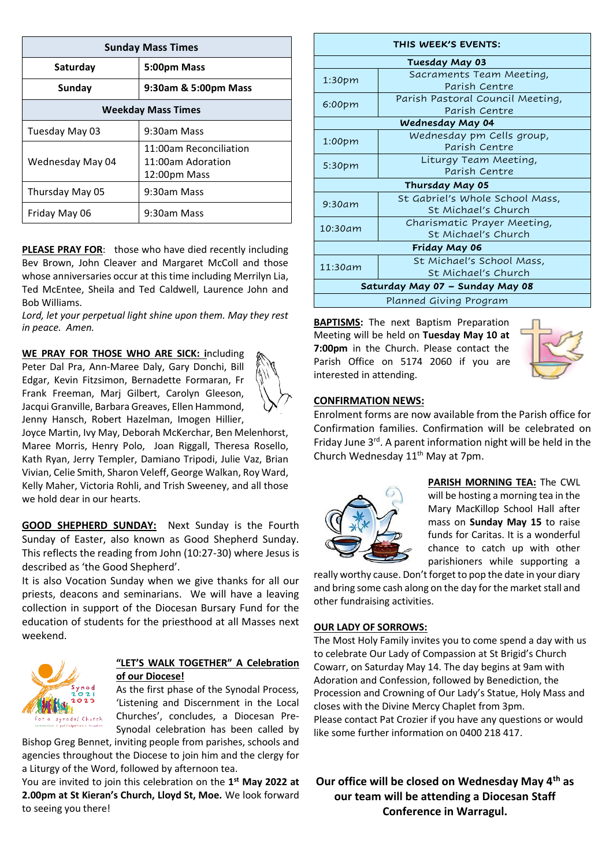| <b>Sunday Mass Times</b>  |                                                             |  |  |  |
|---------------------------|-------------------------------------------------------------|--|--|--|
| Saturday                  | 5:00pm Mass                                                 |  |  |  |
| Sunday                    | 9:30am & 5:00pm Mass                                        |  |  |  |
| <b>Weekday Mass Times</b> |                                                             |  |  |  |
| Tuesday May 03            | 9:30am Mass                                                 |  |  |  |
| Wednesday May 04          | 11:00am Reconciliation<br>11:00am Adoration<br>12:00pm Mass |  |  |  |
| Thursday May 05           | 9:30am Mass                                                 |  |  |  |
| Friday May 06             | 9:30am Mass                                                 |  |  |  |

**PLEASE PRAY FOR:** those who have died recently including Bev Brown, John Cleaver and Margaret McColl and those whose anniversaries occur at this time including Merrilyn Lia, Ted McEntee, Sheila and Ted Caldwell, Laurence John and Bob Williams.

*Lord, let your perpetual light shine upon them. May they rest in peace. Amen.*

**WE PRAY FOR THOSE WHO ARE SICK: i**ncluding Peter Dal Pra, Ann-Maree Daly, Gary Donchi, Bill Edgar, Kevin Fitzsimon, Bernadette Formaran, Fr Frank Freeman, Marj Gilbert, Carolyn Gleeson, Jacqui Granville, Barbara Greaves, Ellen Hammond, Jenny Hansch, Robert Hazelman, Imogen Hillier,



Joyce Martin, Ivy May, Deborah McKerchar, Ben Melenhorst, Maree Morris, Henry Polo, Joan Riggall, Theresa Rosello, Kath Ryan, Jerry Templer, Damiano Tripodi, Julie Vaz, Brian Vivian, Celie Smith, Sharon Veleff, George Walkan, Roy Ward, Kelly Maher, Victoria Rohli, and Trish Sweeney, and all those we hold dear in our hearts.

**GOOD SHEPHERD SUNDAY:** Next Sunday is the Fourth Sunday of Easter, also known as Good Shepherd Sunday. This reflects the reading from John (10:27-30) where Jesus is described as 'the Good Shepherd'.

It is also Vocation Sunday when we give thanks for all our priests, deacons and seminarians. We will have a leaving collection in support of the Diocesan Bursary Fund for the education of students for the priesthood at all Masses next weekend.



# **"LET'S WALK TOGETHER" A Celebration of our Diocese!**

As the first phase of the Synodal Process, 'Listening and Discernment in the Local Churches', concludes, a Diocesan Pre-Synodal celebration has been called by

Bishop Greg Bennet, inviting people from parishes, schools and agencies throughout the Diocese to join him and the clergy for a Liturgy of the Word, followed by afternoon tea.

You are invited to join this celebration on the 1<sup>st</sup> May 2022 at **2.00pm at St Kieran's Church, Lloyd St, Moe.** We look forward to seeing you there!

| THIS WEEK'S EVENTS:             |                                  |  |  |  |
|---------------------------------|----------------------------------|--|--|--|
| Tuesday May 03                  |                                  |  |  |  |
| 1:30 <sub>pm</sub>              | Sacraments Team Meeting,         |  |  |  |
|                                 | Parish Centre                    |  |  |  |
| $6:00$ pm                       | Parish Pastoral Council Meeting, |  |  |  |
|                                 | Parish Centre                    |  |  |  |
| Wednesday May 04                |                                  |  |  |  |
| 1:00 <sub>pm</sub>              | Wednesday pm Cells group,        |  |  |  |
|                                 | Parish Centre                    |  |  |  |
|                                 | Liturgy Team Meeting,            |  |  |  |
| 5:30pm                          | Parish Centre                    |  |  |  |
| Thursday May 05                 |                                  |  |  |  |
| 9:30am                          | St Gabriel's Whole School Mass,  |  |  |  |
|                                 | St Michael's Church              |  |  |  |
| 10:30am                         | Charismatic Prayer Meeting,      |  |  |  |
|                                 | St Michael's Church              |  |  |  |
| Friday May 06                   |                                  |  |  |  |
| 11:30am                         | St Michael's School Mass,        |  |  |  |
|                                 | St Michael's Church              |  |  |  |
| Saturday May 07 - Sunday May 08 |                                  |  |  |  |
| Planned Giving Program          |                                  |  |  |  |

**BAPTISMS:** The next Baptism Preparation Meeting will be held on **Tuesday May 10 at 7:00pm** in the Church. Please contact the Parish Office on 5174 2060 if you are interested in attending.



# **CONFIRMATION NEWS:**

Enrolment forms are now available from the Parish office for Confirmation families. Confirmation will be celebrated on Friday June  $3^{rd}$ . A parent information night will be held in the Church Wednesday 11<sup>th</sup> May at 7pm.



**PARISH MORNING TEA:** The CWL will be hosting a morning tea in the Mary MacKillop School Hall after mass on **Sunday May 15** to raise funds for Caritas. It is a wonderful chance to catch up with other parishioners while supporting a

really worthy cause. Don't forget to pop the date in your diary and bring some cash along on the day for the market stall and other fundraising activities.

#### **OUR LADY OF SORROWS:**

The Most Holy Family invites you to come spend a day with us to celebrate Our Lady of Compassion at St Brigid's Church Cowarr, on Saturday May 14. The day begins at 9am with Adoration and Confession, followed by Benediction, the Procession and Crowning of Our Lady's Statue, Holy Mass and closes with the Divine Mercy Chaplet from 3pm. Please contact Pat Crozier if you have any questions or would like some further information on 0400 218 417.

**Our office will be closed on Wednesday May 4th as our team will be attending a Diocesan Staff Conference in Warragul.**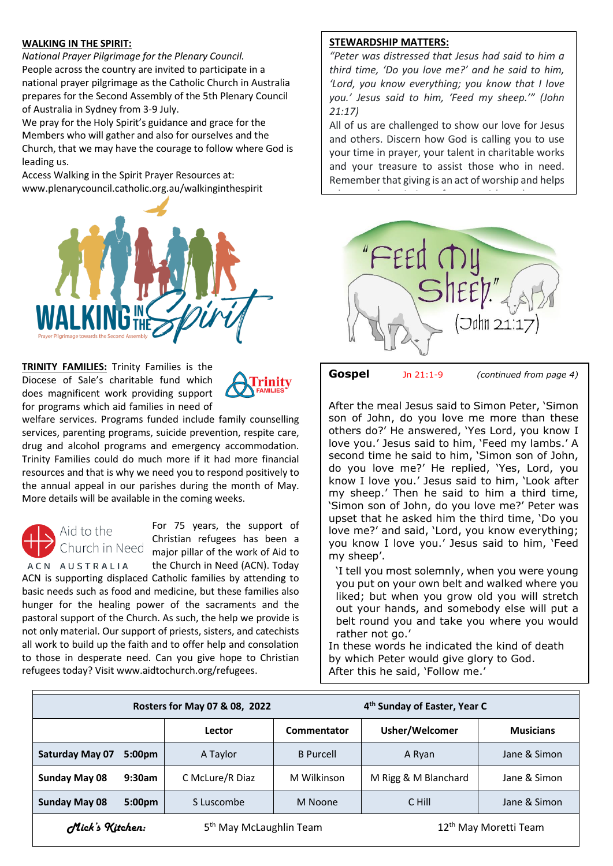#### **WALKING IN THE SPIRIT:**

*National Prayer Pilgrimage for the Plenary Council.* People across the country are invited to participate in a national prayer pilgrimage as the Catholic Church in Australia prepares for the Second Assembly of the 5th Plenary Council of Australia in Sydney from 3-9 July.

We pray for the Holy Spirit's guidance and grace for the Members who will gather and also for ourselves and the Church, that we may have the courage to follow where God is leading us.

Access Walking in the Spirit Prayer Resources at: [www.plenarycouncil.catholic.org.au/walkinginthespirit](http://www.plenarycouncil.catholic.org.au/walkinginthespirit)



**TRINITY FAMILIES:** Trinity Families is the Diocese of Sale's charitable fund which does magnificent work providing support for programs which aid families in need of



welfare services. Programs funded include family counselling services, parenting programs, suicide prevention, respite care, drug and alcohol programs and emergency accommodation. Trinity Families could do much more if it had more financial resources and that is why we need you to respond positively to the annual appeal in our parishes during the month of May. More details will be available in the coming weeks.



For 75 years, the support of Christian refugees has been a major pillar of the work of Aid to the Church in Need (ACN). Today

ACN AUSTRALIA ACN is supporting displaced Catholic families by attending to basic needs such as food and medicine, but these families also hunger for the healing power of the sacraments and the pastoral support of the Church. As such, the help we provide is not only material. Our support of priests, sisters, and catechists all work to build up the faith and to offer help and consolation to those in desperate need. Can you give hope to Christian refugees today? Visit [www.aidtochurch.org/refugees.](http://www.aidtochurch.org/refugees)

#### **STEWARDSHIP MATTERS:**

*"Peter was distressed that Jesus had said to him a third time, 'Do you love me?' and he said to him, 'Lord, you know everything; you know that I love you.' Jesus said to him, 'Feed my sheep.'" (John 21:17)*

All of us are challenged to show our love for Jesus and others. Discern how God is calling you to use your time in prayer, your talent in charitable works and your treasure to assist those who in need. Remember that giving is an act of worship and helps

advance the mission of our parish and greater



**Gospel** Jn 21:1-9 *(continued from page 4)*

After the meal Jesus said to Simon Peter, 'Simon son of John, do you love me more than these others do?' He answered, 'Yes Lord, you know I love you.' Jesus said to him, 'Feed my lambs.' A second time he said to him, 'Simon son of John, do you love me?' He replied, 'Yes, Lord, you know I love you.' Jesus said to him, 'Look after my sheep.' Then he said to him a third time, 'Simon son of John, do you love me?' Peter was upset that he asked him the third time, 'Do you love me?' and said, 'Lord, you know everything; you know I love you.' Jesus said to him, 'Feed my sheep'.

'I tell you most solemnly, when you were young you put on your own belt and walked where you liked; but when you grow old you will stretch out your hands, and somebody else will put a belt round you and take you where you would rather not go.'

In these words he indicated the kind of death by which Peter would give glory to God. After this he said, 'Follow me.'

|                        | Rosters for May 07 & 08, 2022 |                                     |                  | 4 <sup>th</sup> Sunday of Easter, Year C |                                   |  |
|------------------------|-------------------------------|-------------------------------------|------------------|------------------------------------------|-----------------------------------|--|
|                        |                               | Lector                              | Commentator      | Usher/Welcomer                           | <b>Musicians</b>                  |  |
| <b>Saturday May 07</b> | 5:00 <sub>pm</sub>            | A Taylor                            | <b>B</b> Purcell | A Ryan                                   | Jane & Simon                      |  |
| <b>Sunday May 08</b>   | 9:30am                        | C McLure/R Diaz                     | M Wilkinson      | M Rigg & M Blanchard                     | Jane & Simon                      |  |
| <b>Sunday May 08</b>   | 5:00 <sub>pm</sub>            | S Luscombe                          | M Noone          | C Hill                                   | Jane & Simon                      |  |
| Mick's Kitchen:        |                               | 5 <sup>th</sup> May McLaughlin Team |                  |                                          | 12 <sup>th</sup> May Moretti Team |  |